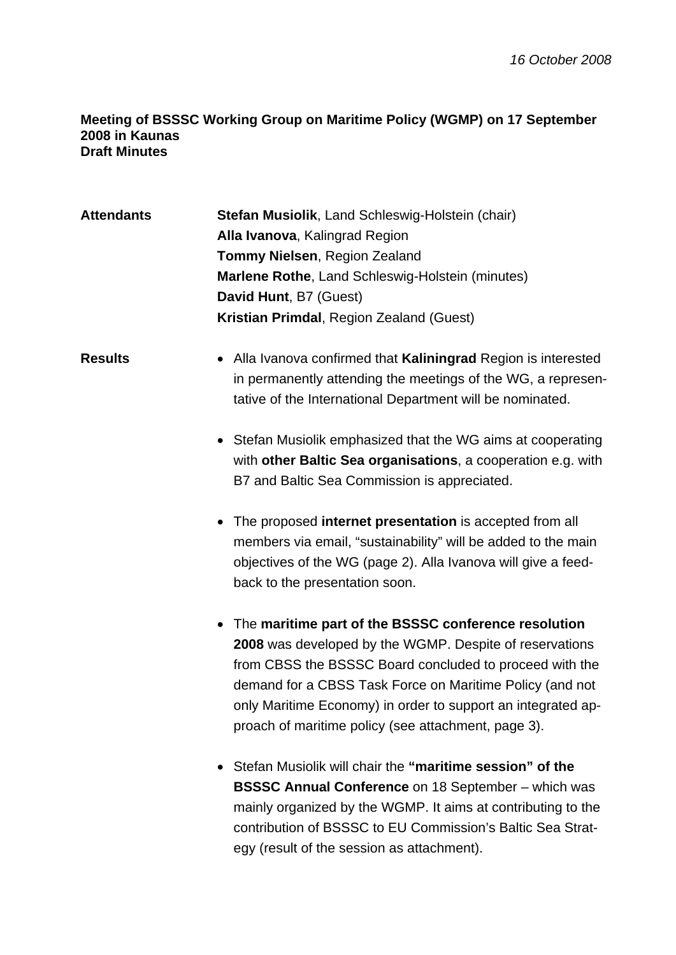## **Meeting of BSSSC Working Group on Maritime Policy (WGMP) on 17 September 2008 in Kaunas Draft Minutes**

| <b>Attendants</b> | Stefan Musiolik, Land Schleswig-Holstein (chair)<br>Alla Ivanova, Kalingrad Region<br><b>Tommy Nielsen, Region Zealand</b><br>Marlene Rothe, Land Schleswig-Holstein (minutes)<br>David Hunt, B7 (Guest)                                                                                                                                                        |
|-------------------|-----------------------------------------------------------------------------------------------------------------------------------------------------------------------------------------------------------------------------------------------------------------------------------------------------------------------------------------------------------------|
|                   | Kristian Primdal, Region Zealand (Guest)                                                                                                                                                                                                                                                                                                                        |
| <b>Results</b>    | • Alla Ivanova confirmed that Kaliningrad Region is interested<br>in permanently attending the meetings of the WG, a represen-<br>tative of the International Department will be nominated.                                                                                                                                                                     |
|                   | • Stefan Musiolik emphasized that the WG aims at cooperating<br>with other Baltic Sea organisations, a cooperation e.g. with<br>B7 and Baltic Sea Commission is appreciated.                                                                                                                                                                                    |
|                   | • The proposed internet presentation is accepted from all<br>members via email, "sustainability" will be added to the main<br>objectives of the WG (page 2). Alla Ivanova will give a feed-<br>back to the presentation soon.                                                                                                                                   |
|                   | • The maritime part of the BSSSC conference resolution<br>2008 was developed by the WGMP. Despite of reservations<br>from CBSS the BSSSC Board concluded to proceed with the<br>demand for a CBSS Task Force on Maritime Policy (and not<br>only Maritime Economy) in order to support an integrated ap-<br>proach of maritime policy (see attachment, page 3). |
|                   | Stefan Musiolik will chair the "maritime session" of the<br><b>BSSSC Annual Conference on 18 September - which was</b><br>mainly organized by the WGMP. It aims at contributing to the<br>contribution of BSSSC to EU Commission's Baltic Sea Strat-<br>egy (result of the session as attachment).                                                              |